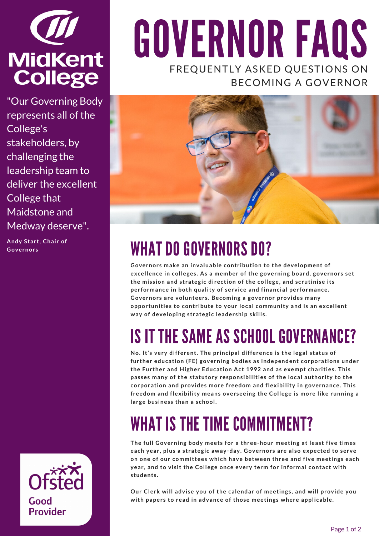

"Our Governing Body represents all of the College's stakeholders, by challenging the leadership team to deliver the excellent College that Maidstone and Medway deserve".

**Andy Start, Chair of**



# GOVERNOR FAQS FREQUENTLY ASKED QUESTIONS ON BECOMING A GOVERNOR



## Andy Start, Chair of **WHAT DO GOVERNORS DO?**

**Governors make an invaluable contribution to the development of excellence in colleges. As a member of the governing board, governors set the mission and strategic direction of the college, and scrutinise its performance in both quality of service and financial performance. Governors are volunteers. Becoming a governor provides many opportunities to contribute to your local community and is an excellent way of developing strategic leadership skills.**

### IS IT THE SAME AS SCHOOL GOVERNANCE?

**No. It's very different. The principal difference is the legal status of further education (FE) governing bodies as independent corporations under the Further and Higher Education Act 1992 and as exempt charities. This passes many of the statutory responsibilities of the local authority to the corporation and provides more freedom and flexibility in governance. This freedom and flexibility means overseeing the College is more like running a large business than a school.**

### WHAT IS THE TIME COMMITMENT?

**The full Governing body meets for a three-hour meeting at least five times each year, plus a strategic away-day. Governors are also expected to serve on one of our committees which have between three and five meetings each year, and to visit the College once every term for informal contact with students.**

**Our Clerk will advise you of the calendar of meetings, and will provide you with papers to read in advance of those meetings where applicable.**